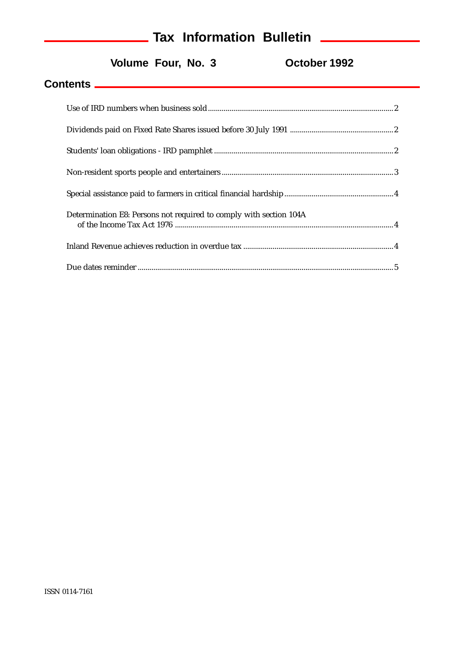### **Tax Information Bulletin \_\_\_\_\_\_\_\_\_\_\_\_\_\_**

<u> 1980 - Johann Barn, mars an t-Amerikaansk ferske</u>

**Volume Four, No. 3 October 1992**

#### **Contents**

| Determination E8: Persons not required to comply with section 104A<br>of the Income Tax Act 1976 |
|--------------------------------------------------------------------------------------------------|
|                                                                                                  |
|                                                                                                  |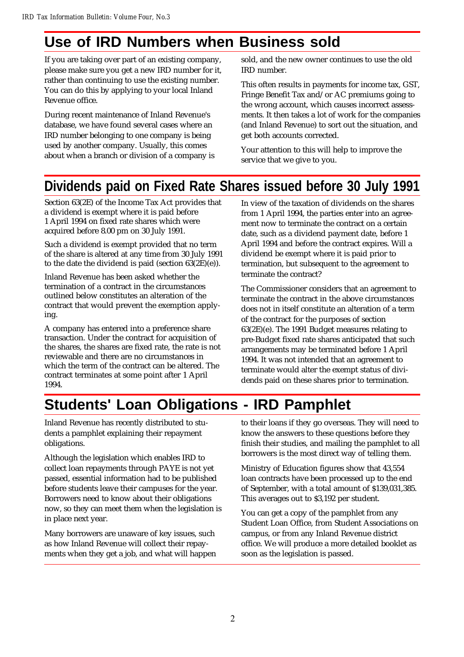# **Use of IRD Numbers when Business sold**

If you are taking over part of an existing company, please make sure you get a new IRD number for it, rather than continuing to use the existing number. You can do this by applying to your local Inland Revenue office.

During recent maintenance of Inland Revenue's database, we have found several cases where an IRD number belonging to one company is being used by another company. Usually, this comes about when a branch or division of a company is sold, and the new owner continues to use the old IRD number.

This often results in payments for income tax, GST, Fringe Benefit Tax and/or AC premiums going to the wrong account, which causes incorrect assessments. It then takes a lot of work for the companies (and Inland Revenue) to sort out the situation, and get both accounts corrected.

Your attention to this will help to improve the service that we give to you.

### **Dividends paid on Fixed Rate Shares issued before 30 July 1991**

Section 63(2E) of the Income Tax Act provides that a dividend is exempt where it is paid before 1 April 1994 on fixed rate shares which were acquired before 8.00 pm on 30 July 1991.

Such a dividend is exempt provided that no term of the share is altered at any time from 30 July 1991 to the date the dividend is paid (section 63(2E)(e)).

Inland Revenue has been asked whether the termination of a contract in the circumstances outlined below constitutes an alteration of the contract that would prevent the exemption applying.

A company has entered into a preference share transaction. Under the contract for acquisition of the shares, the shares are fixed rate, the rate is not reviewable and there are no circumstances in which the term of the contract can be altered. The contract terminates at some point after 1 April 1994.

In view of the taxation of dividends on the shares from 1 April 1994, the parties enter into an agreement now to terminate the contract on a certain date, such as a dividend payment date, before 1 April 1994 and before the contract expires. Will a dividend be exempt where it is paid prior to termination, but subsequent to the agreement to terminate the contract?

The Commissioner considers that an agreement to terminate the contract in the above circumstances does not in itself constitute an alteration of a term of the contract for the purposes of section 63(2E)(e). The 1991 Budget measures relating to pre-Budget fixed rate shares anticipated that such arrangements may be terminated before 1 April 1994. It was not intended that an agreement to terminate would alter the exempt status of dividends paid on these shares prior to termination.

# **Students' Loan Obligations - IRD Pamphlet**

Inland Revenue has recently distributed to students a pamphlet explaining their repayment obligations.

Although the legislation which enables IRD to collect loan repayments through PAYE is not yet passed, essential information had to be published before students leave their campuses for the year. Borrowers need to know about their obligations now, so they can meet them when the legislation is in place next year.

Many borrowers are unaware of key issues, such as how Inland Revenue will collect their repayments when they get a job, and what will happen

to their loans if they go overseas. They will need to know the answers to these questions before they finish their studies, and mailing the pamphlet to all borrowers is the most direct way of telling them.

Ministry of Education figures show that 43,554 loan contracts have been processed up to the end of September, with a total amount of \$139,031,385. This averages out to \$3,192 per student.

You can get a copy of the pamphlet from any Student Loan Office, from Student Associations on campus, or from any Inland Revenue district office. We will produce a more detailed booklet as soon as the legislation is passed.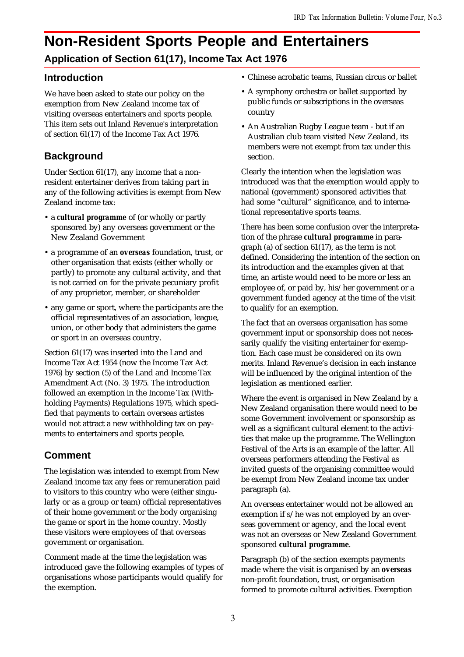# **Non-Resident Sports People and Entertainers**

### **Application of Section 61(17), Income Tax Act 1976**

#### **Introduction**

We have been asked to state our policy on the exemption from New Zealand income tax of visiting overseas entertainers and sports people. This item sets out Inland Revenue's interpretation of section 61(17) of the Income Tax Act 1976.

### **Background**

Under Section 61(17), any income that a nonresident entertainer derives from taking part in any of the following activities is exempt from New Zealand income tax:

- a *cultural programme* of (or wholly or partly sponsored by) any overseas government or the New Zealand Government
- a programme of an *overseas* foundation, trust, or other organisation that exists (either wholly or partly) to promote any cultural activity, and that is not carried on for the private pecuniary profit of any proprietor, member, or shareholder
- any game or sport, where the participants are the official representatives of an association, league, union, or other body that administers the game or sport in an overseas country.

Section 61(17) was inserted into the Land and Income Tax Act 1954 (now the Income Tax Act 1976) by section (5) of the Land and Income Tax Amendment Act (No. 3) 1975. The introduction followed an exemption in the Income Tax (Withholding Payments) Regulations 1975, which specified that payments to certain overseas artistes would not attract a new withholding tax on payments to entertainers and sports people.

### **Comment**

The legislation was intended to exempt from New Zealand income tax any fees or remuneration paid to visitors to this country who were (either singularly or as a group or team) official representatives of their home government or the body organising the game or sport in the home country. Mostly these visitors were employees of that overseas government or organisation.

Comment made at the time the legislation was introduced gave the following examples of types of organisations whose participants would qualify for the exemption.

- Chinese acrobatic teams, Russian circus or ballet
- A symphony orchestra or ballet supported by public funds or subscriptions in the overseas country
- An Australian Rugby League team but if an Australian club team visited New Zealand, its members were not exempt from tax under this section.

Clearly the intention when the legislation was introduced was that the exemption would apply to national (government) sponsored activities that had some "cultural" significance, and to international representative sports teams.

There has been some confusion over the interpretation of the phrase *cultural programme* in paragraph (a) of section 61(17), as the term is not defined. Considering the intention of the section on its introduction and the examples given at that time, an artiste would need to be more or less an employee of, or paid by, his/her government or a government funded agency at the time of the visit to qualify for an exemption.

The fact that an overseas organisation has some government input or sponsorship does not necessarily qualify the visiting entertainer for exemption. Each case must be considered on its own merits. Inland Revenue's decision in each instance will be influenced by the original intention of the legislation as mentioned earlier.

Where the event is organised in New Zealand by a New Zealand organisation there would need to be some Government involvement or sponsorship as well as a significant cultural element to the activities that make up the programme. The Wellington Festival of the Arts is an example of the latter. All overseas performers attending the Festival as invited guests of the organising committee would be exempt from New Zealand income tax under paragraph (a).

An overseas entertainer would not be allowed an exemption if s/he was not employed by an overseas government or agency, and the local event was not an overseas or New Zealand Government sponsored *cultural programme*.

Paragraph (b) of the section exempts payments made where the visit is organised by an *overseas* non-profit foundation, trust, or organisation formed to promote cultural activities. Exemption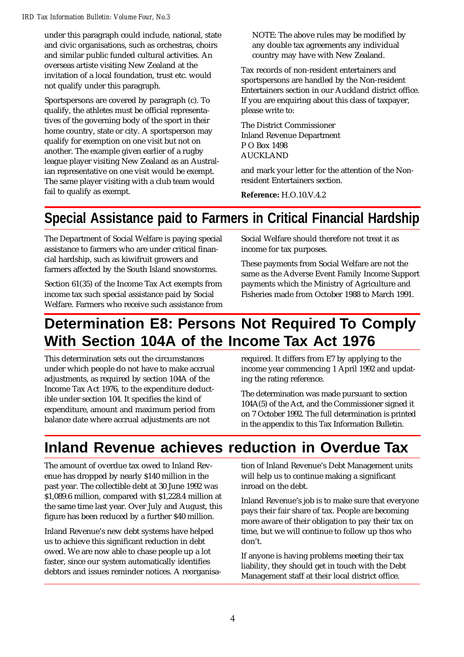#### *IRD Tax Information Bulletin: Volume Four, No.3*

under this paragraph could include, national, state and civic organisations, such as orchestras, choirs and similar public funded cultural activities. An overseas artiste visiting New Zealand at the invitation of a local foundation, trust etc. would not qualify under this paragraph.

Sportspersons are covered by paragraph (c). To qualify, the athletes must be official representatives of the governing body of the sport in their home country, state or city. A sportsperson may qualify for exemption on one visit but not on another. The example given earlier of a rugby league player visiting New Zealand as an Australian representative on one visit would be exempt. The same player visiting with a club team would fail to qualify as exempt.

NOTE: The above rules may be modified by any double tax agreements any individual country may have with New Zealand.

Tax records of non-resident entertainers and sportspersons are handled by the Non-resident Entertainers section in our Auckland district office. If you are enquiring about this class of taxpayer, please write to:

The District Commissioner Inland Revenue Department P O Box 1498 AUCKLAND

and mark your letter for the attention of the Nonresident Entertainers section.

**Reference:** H.O.10.V.4.2

### **Special Assistance paid to Farmers in Critical Financial Hardship**

The Department of Social Welfare is paying special assistance to farmers who are under critical financial hardship, such as kiwifruit growers and farmers affected by the South Island snowstorms.

Section 61(35) of the Income Tax Act exempts from income tax such special assistance paid by Social Welfare. Farmers who receive such assistance from Social Welfare should therefore not treat it as income for tax purposes.

These payments from Social Welfare are not the same as the Adverse Event Family Income Support payments which the Ministry of Agriculture and Fisheries made from October 1988 to March 1991.

### **Determination E8: Persons Not Required To Comply With Section 104A of the Income Tax Act 1976**

This determination sets out the circumstances under which people do not have to make accrual adjustments, as required by section 104A of the Income Tax Act 1976, to the expenditure deductible under section 104. It specifies the kind of expenditure, amount and maximum period from balance date where accrual adjustments are not

required. It differs from E7 by applying to the income year commencing 1 April 1992 and updating the rating reference.

The determination was made pursuant to section 104A(5) of the Act, and the Commissioner signed it on 7 October 1992. The full determination is printed in the appendix to this Tax Information Bulletin.

# **Inland Revenue achieves reduction in Overdue Tax**

The amount of overdue tax owed to Inland Revenue has dropped by nearly \$140 million in the past year. The collectible debt at 30 June 1992 was \$1,089.6 million, compared with \$1,228.4 million at the same time last year. Over July and August, this figure has been reduced by a further \$40 million.

Inland Revenue's new debt systems have helped us to achieve this significant reduction in debt owed. We are now able to chase people up a lot faster, since our system automatically identifies debtors and issues reminder notices. A reorganisa-

tion of Inland Revenue's Debt Management units will help us to continue making a significant inroad on the debt.

Inland Revenue's job is to make sure that everyone pays their fair share of tax. People are becoming more aware of their obligation to pay their tax on time, but we will continue to follow up thos who don't.

If anyone is having problems meeting their tax liability, they should get in touch with the Debt Management staff at their local district office.